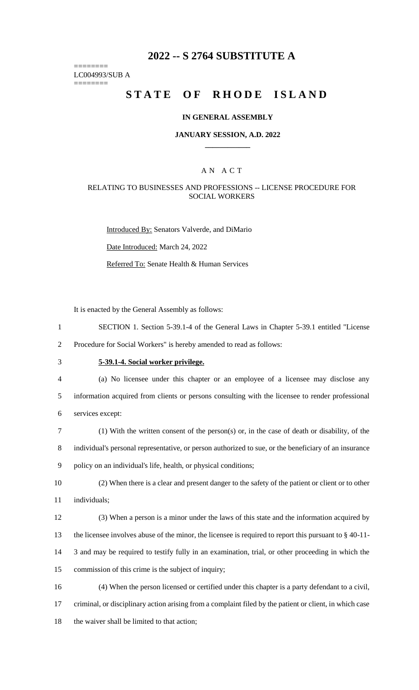## **2022 -- S 2764 SUBSTITUTE A**

======== LC004993/SUB A

========

# **STATE OF RHODE ISLAND**

#### **IN GENERAL ASSEMBLY**

#### **JANUARY SESSION, A.D. 2022 \_\_\_\_\_\_\_\_\_\_\_\_**

## A N A C T

### RELATING TO BUSINESSES AND PROFESSIONS -- LICENSE PROCEDURE FOR SOCIAL WORKERS

Introduced By: Senators Valverde, and DiMario Date Introduced: March 24, 2022

Referred To: Senate Health & Human Services

It is enacted by the General Assembly as follows:

1 SECTION 1. Section 5-39.1-4 of the General Laws in Chapter 5-39.1 entitled "License

2 Procedure for Social Workers" is hereby amended to read as follows:

# 3 **5-39.1-4. Social worker privilege.**

- 4 (a) No licensee under this chapter or an employee of a licensee may disclose any 5 information acquired from clients or persons consulting with the licensee to render professional 6 services except:
- 7 (1) With the written consent of the person(s) or, in the case of death or disability, of the 8 individual's personal representative, or person authorized to sue, or the beneficiary of an insurance 9 policy on an individual's life, health, or physical conditions;
- 10 (2) When there is a clear and present danger to the safety of the patient or client or to other 11 individuals;
- 12 (3) When a person is a minor under the laws of this state and the information acquired by 13 the licensee involves abuse of the minor, the licensee is required to report this pursuant to § 40-11- 14 3 and may be required to testify fully in an examination, trial, or other proceeding in which the 15 commission of this crime is the subject of inquiry;
- 16 (4) When the person licensed or certified under this chapter is a party defendant to a civil, 17 criminal, or disciplinary action arising from a complaint filed by the patient or client, in which case 18 the waiver shall be limited to that action;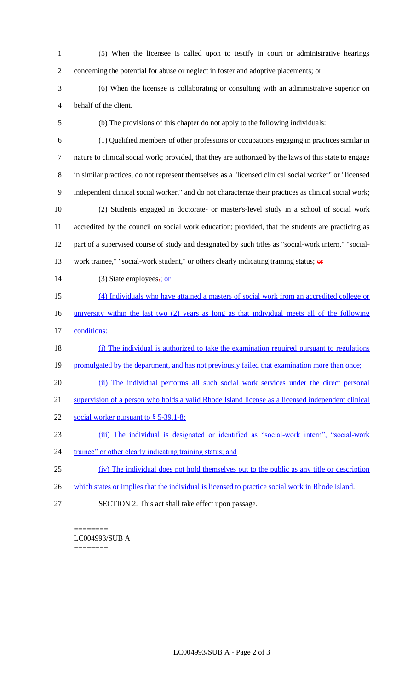(5) When the licensee is called upon to testify in court or administrative hearings concerning the potential for abuse or neglect in foster and adoptive placements; or (6) When the licensee is collaborating or consulting with an administrative superior on behalf of the client. (b) The provisions of this chapter do not apply to the following individuals: (1) Qualified members of other professions or occupations engaging in practices similar in nature to clinical social work; provided, that they are authorized by the laws of this state to engage in similar practices, do not represent themselves as a "licensed clinical social worker" or "licensed independent clinical social worker," and do not characterize their practices as clinical social work; (2) Students engaged in doctorate- or master's-level study in a school of social work accredited by the council on social work education; provided, that the students are practicing as part of a supervised course of study and designated by such titles as "social-work intern," "social-13 work trainee," "social-work student," or others clearly indicating training status; or 14 (3) State employees.; or (4) Individuals who have attained a masters of social work from an accredited college or university within the last two (2) years as long as that individual meets all of the following conditions: (i) The individual is authorized to take the examination required pursuant to regulations 19 promulgated by the department, and has not previously failed that examination more than once; 20 (ii) The individual performs all such social work services under the direct personal supervision of a person who holds a valid Rhode Island license as a licensed independent clinical 22 social worker pursuant to § 5-39.1-8; (iii) The individual is designated or identified as "social-work intern", "social-work 24 trainee" or other clearly indicating training status; and (iv) The individual does not hold themselves out to the public as any title or description 26 which states or implies that the individual is licensed to practice social work in Rhode Island. SECTION 2. This act shall take effect upon passage.

======== LC004993/SUB A ========